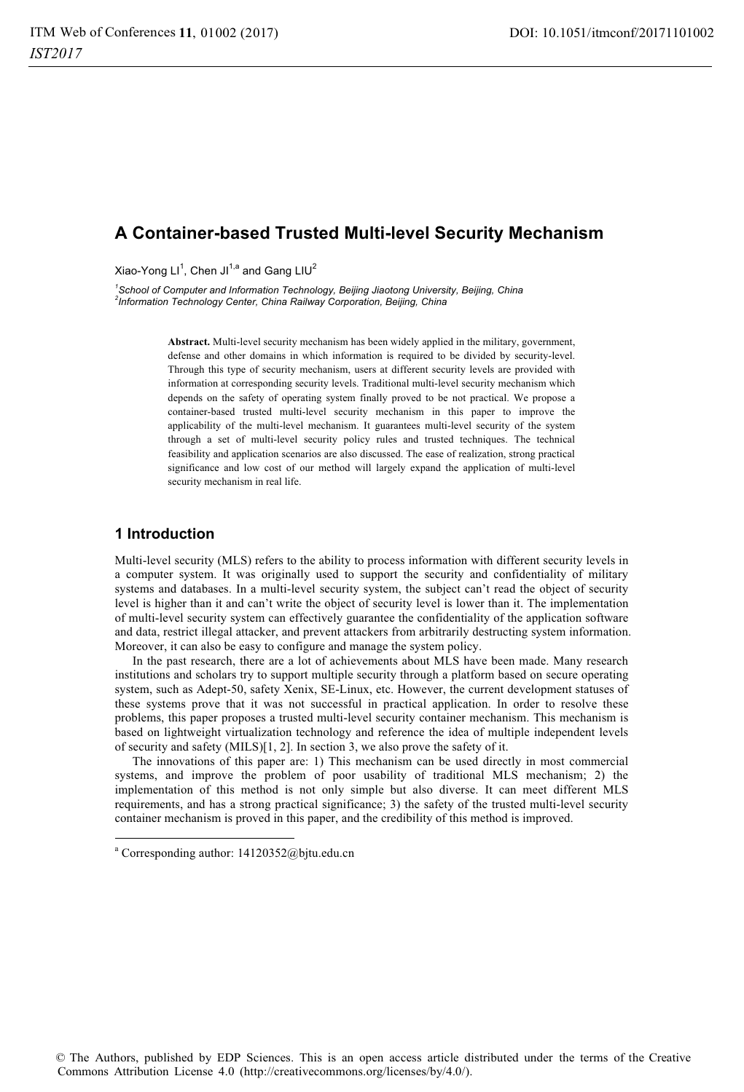# **A Container-based Trusted Multi-level Security Mechanism**

Xiao-Yong LI<sup>1</sup>, Chen JI<sup>1,a</sup> and Gang LIU<sup>2</sup>

<sup>1</sup> School of Computer and Information Technology, Beijing Jiaotong University, Beijing, China<br><sup>2</sup> Information Technology Center, China Beilway Cerperation, Beijing, China *Information Technology Center, China Railway Corporation, Beijing, China* 

> **Abstract.** Multi-level security mechanism has been widely applied in the military, government, defense and other domains in which information is required to be divided by security-level. Through this type of security mechanism, users at different security levels are provided with information at corresponding security levels. Traditional multi-level security mechanism which depends on the safety of operating system finally proved to be not practical. We propose a container-based trusted multi-level security mechanism in this paper to improve the applicability of the multi-level mechanism. It guarantees multi-level security of the system through a set of multi-level security policy rules and trusted techniques. The technical feasibility and application scenarios are also discussed. The ease of realization, strong practical significance and low cost of our method will largely expand the application of multi-level security mechanism in real life.

# **1 Introduction**

j

Multi-level security (MLS) refers to the ability to process information with different security levels in a computer system. It was originally used to support the security and confidentiality of military systems and databases. In a multi-level security system, the subject can't read the object of security level is higher than it and can't write the object of security level is lower than it. The implementation of multi-level security system can effectively guarantee the confidentiality of the application software and data, restrict illegal attacker, and prevent attackers from arbitrarily destructing system information. Moreover, it can also be easy to configure and manage the system policy.

In the past research, there are a lot of achievements about MLS have been made. Many research institutions and scholars try to support multiple security through a platform based on secure operating system, such as Adept-50, safety Xenix, SE-Linux, etc. However, the current development statuses of these systems prove that it was not successful in practical application. In order to resolve these problems, this paper proposes a trusted multi-level security container mechanism. This mechanism is based on lightweight virtualization technology and reference the idea of multiple independent levels of security and safety (MILS)[1, 2]. In section 3, we also prove the safety of it.

The innovations of this paper are: 1) This mechanism can be used directly in most commercial systems, and improve the problem of poor usability of traditional MLS mechanism; 2) the implementation of this method is not only simple but also diverse. It can meet different MLS requirements, and has a strong practical significance; 3) the safety of the trusted multi-level security container mechanism is proved in this paper, and the credibility of this method is improved.

a Corresponding author: 14120352@bjtu.edu.cn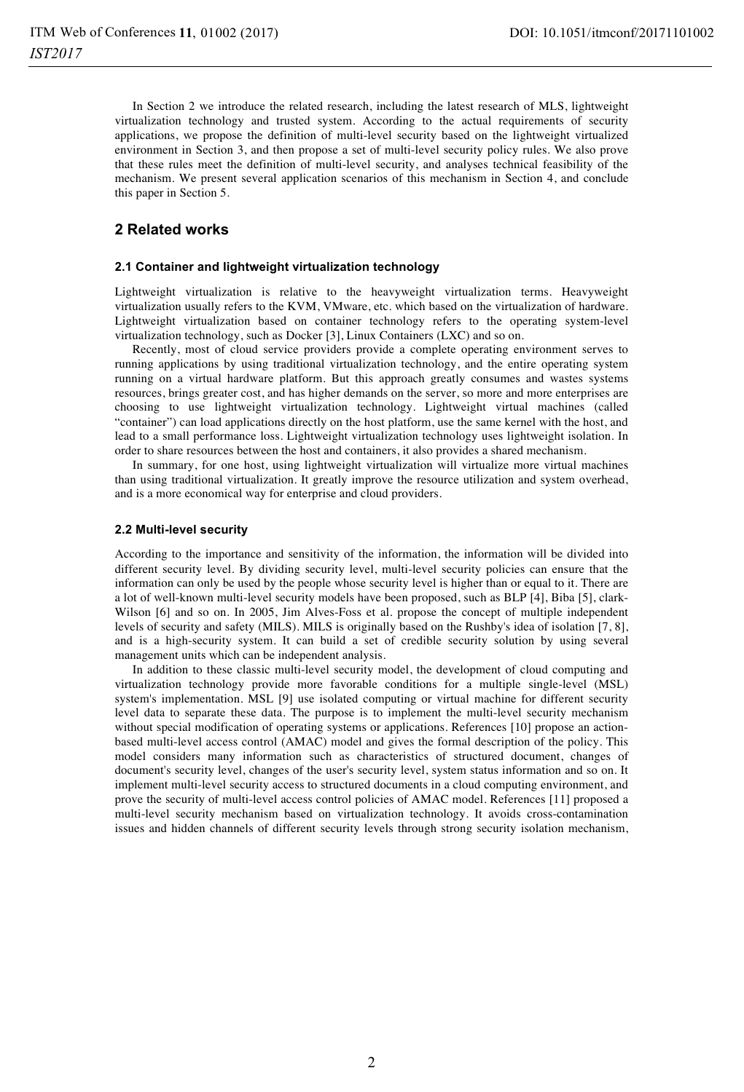In Section 2 we introduce the related research, including the latest research of MLS, lightweight virtualization technology and trusted system. According to the actual requirements of security applications, we propose the definition of multi-level security based on the lightweight virtualized environment in Section 3, and then propose a set of multi-level security policy rules. We also prove that these rules meet the definition of multi-level security, and analyses technical feasibility of the mechanism. We present several application scenarios of this mechanism in Section 4, and conclude this paper in Section 5.

## **2 Related works**

### **2.1 Container and lightweight virtualization technology**

Lightweight virtualization is relative to the heavyweight virtualization terms. Heavyweight virtualization usually refers to the KVM, VMware, etc. which based on the virtualization of hardware. Lightweight virtualization based on container technology refers to the operating system-level virtualization technology, such as Docker [3], Linux Containers (LXC) and so on.

Recently, most of cloud service providers provide a complete operating environment serves to running applications by using traditional virtualization technology, and the entire operating system running on a virtual hardware platform. But this approach greatly consumes and wastes systems resources, brings greater cost, and has higher demands on the server, so more and more enterprises are choosing to use lightweight virtualization technology. Lightweight virtual machines (called "container") can load applications directly on the host platform, use the same kernel with the host, and lead to a small performance loss. Lightweight virtualization technology uses lightweight isolation. In order to share resources between the host and containers, it also provides a shared mechanism.

In summary, for one host, using lightweight virtualization will virtualize more virtual machines than using traditional virtualization. It greatly improve the resource utilization and system overhead, and is a more economical way for enterprise and cloud providers.

#### **2.2 Multi-level security**

According to the importance and sensitivity of the information, the information will be divided into different security level. By dividing security level, multi-level security policies can ensure that the information can only be used by the people whose security level is higher than or equal to it. There are a lot of well-known multi-level security models have been proposed, such as BLP [4], Biba [5], clark-Wilson [6] and so on. In 2005, Jim Alves-Foss et al. propose the concept of multiple independent levels of security and safety (MILS). MILS is originally based on the Rushby's idea of isolation [7, 8], and is a high-security system. It can build a set of credible security solution by using several management units which can be independent analysis.

In addition to these classic multi-level security model, the development of cloud computing and virtualization technology provide more favorable conditions for a multiple single-level (MSL) system's implementation. MSL [9] use isolated computing or virtual machine for different security level data to separate these data. The purpose is to implement the multi-level security mechanism without special modification of operating systems or applications. References [10] propose an actionbased multi-level access control (AMAC) model and gives the formal description of the policy. This model considers many information such as characteristics of structured document, changes of document's security level, changes of the user's security level, system status information and so on. It implement multi-level security access to structured documents in a cloud computing environment, and prove the security of multi-level access control policies of AMAC model. References [11] proposed a multi-level security mechanism based on virtualization technology. It avoids cross-contamination issues and hidden channels of different security levels through strong security isolation mechanism,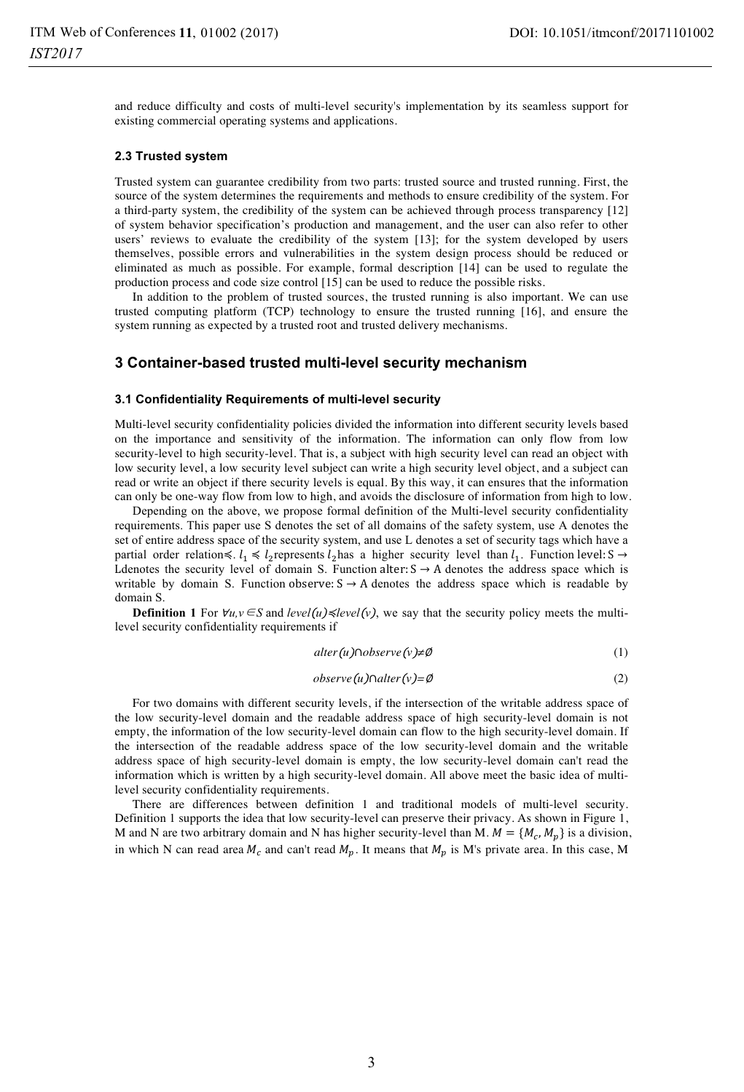and reduce difficulty and costs of multi-level security's implementation by its seamless support for existing commercial operating systems and applications.

### **2.3 Trusted system**

Trusted system can guarantee credibility from two parts: trusted source and trusted running. First, the source of the system determines the requirements and methods to ensure credibility of the system. For a third-party system, the credibility of the system can be achieved through process transparency [12] of system behavior specification's production and management, and the user can also refer to other users' reviews to evaluate the credibility of the system [13]; for the system developed by users themselves, possible errors and vulnerabilities in the system design process should be reduced or eliminated as much as possible. For example, formal description [14] can be used to regulate the production process and code size control [15] can be used to reduce the possible risks.

In addition to the problem of trusted sources, the trusted running is also important. We can use trusted computing platform (TCP) technology to ensure the trusted running [16], and ensure the system running as expected by a trusted root and trusted delivery mechanisms.

### **3 Container-based trusted multi-level security mechanism**

### **3.1 Confidentiality Requirements of multi-level security**

Multi-level security confidentiality policies divided the information into different security levels based on the importance and sensitivity of the information. The information can only flow from low security-level to high security-level. That is, a subject with high security level can read an object with low security level, a low security level subject can write a high security level object, and a subject can read or write an object if there security levels is equal. By this way, it can ensures that the information can only be one-way flow from low to high, and avoids the disclosure of information from high to low.

Depending on the above, we propose formal definition of the Multi-level security confidentiality requirements. This paper use S denotes the set of all domains of the safety system, use A denotes the set of entire address space of the security system, and use L denotes a set of security tags which have a partial order relation  $\leq l_1 \leq l_2$  represents  $l_2$  has a higher security level than  $l_1$ . Function level: S  $\rightarrow$ L denotes the security level of domain S. Function alter:  $S \rightarrow A$  denotes the address space which is writable by domain S. Function observe:  $S \rightarrow A$  denotes the address space which is readable by domain S.

**Definition 1** For  $\forall u, v \in S$  and *level* (*u*)  $\leq$  *level* (*v*), we say that the security policy meets the multilevel security confidentiality requirements if

$$
alter(u) \cap observe(v) \neq \emptyset
$$
 (1)

$$
observe(u)\cap alter(v)=\emptyset
$$
\n(2)

For two domains with different security levels, if the intersection of the writable address space of the low security-level domain and the readable address space of high security-level domain is not empty, the information of the low security-level domain can flow to the high security-level domain. If the intersection of the readable address space of the low security-level domain and the writable address space of high security-level domain is empty, the low security-level domain can't read the information which is written by a high security-level domain. All above meet the basic idea of multilevel security confidentiality requirements.

There are differences between definition 1 and traditional models of multi-level security. Definition 1 supports the idea that low security-level can preserve their privacy. As shown in Figure 1, M and N are two arbitrary domain and N has higher security-level than M.  $M = \{M_c, M_p\}$  is a division, in which N can read area  $M_c$  and can't read  $M_p$ . It means that  $M_p$  is M's private area. In this case, M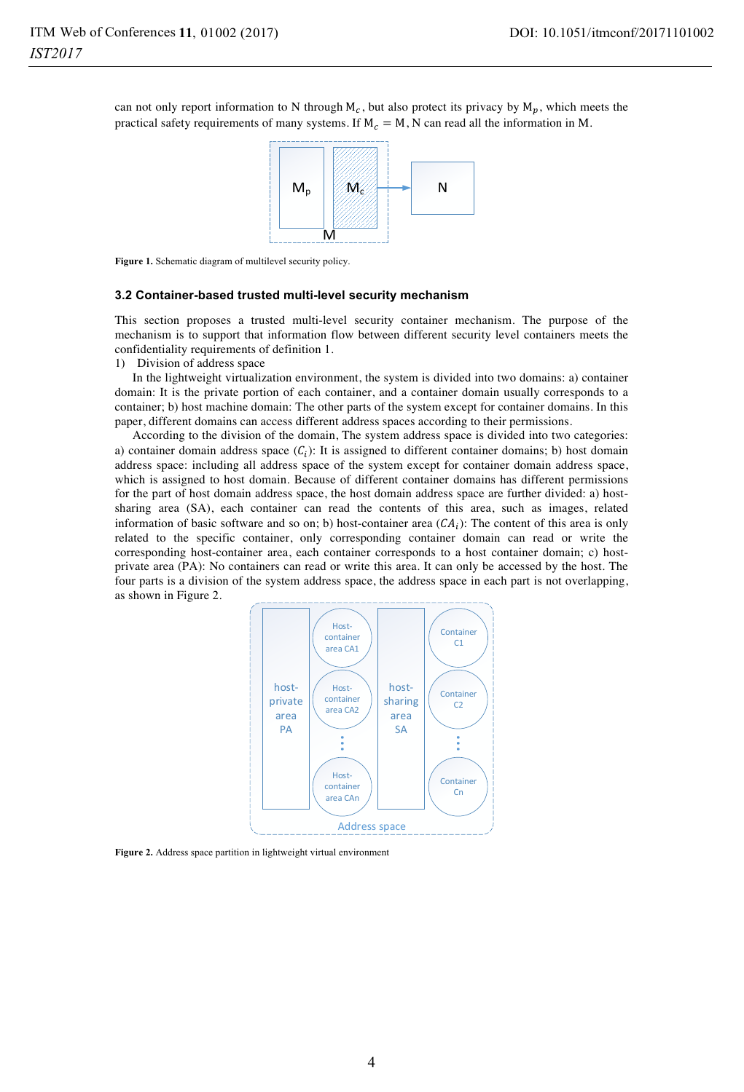can not only report information to N through  $M_c$ , but also protect its privacy by  $M_p$ , which meets the practical safety requirements of many systems. If  $M_c = M$ , N can read all the information in M.



**Figure 1.** Schematic diagram of multilevel security policy.

#### **3.2 Container-based trusted multi-level security mechanism**

This section proposes a trusted multi-level security container mechanism. The purpose of the mechanism is to support that information flow between different security level containers meets the confidentiality requirements of definition 1.

1) Division of address space

In the lightweight virtualization environment, the system is divided into two domains: a) container domain: It is the private portion of each container, and a container domain usually corresponds to a container; b) host machine domain: The other parts of the system except for container domains. In this paper, different domains can access different address spaces according to their permissions.

According to the division of the domain, The system address space is divided into two categories: a) container domain address space  $(C_i)$ : It is assigned to different container domains; b) host domain address space: including all address space of the system except for container domain address space, which is assigned to host domain. Because of different container domains has different permissions for the part of host domain address space, the host domain address space are further divided: a) hostsharing area (SA), each container can read the contents of this area, such as images, related information of basic software and so on; b) host-container area  $(CA_i)$ : The content of this area is only related to the specific container, only corresponding container domain can read or write the corresponding host-container area, each container corresponds to a host container domain; c) hostprivate area (PA): No containers can read or write this area. It can only be accessed by the host. The four parts is a division of the system address space, the address space in each part is not overlapping, as shown in Figure 2.



**Figure 2.** Address space partition in lightweight virtual environment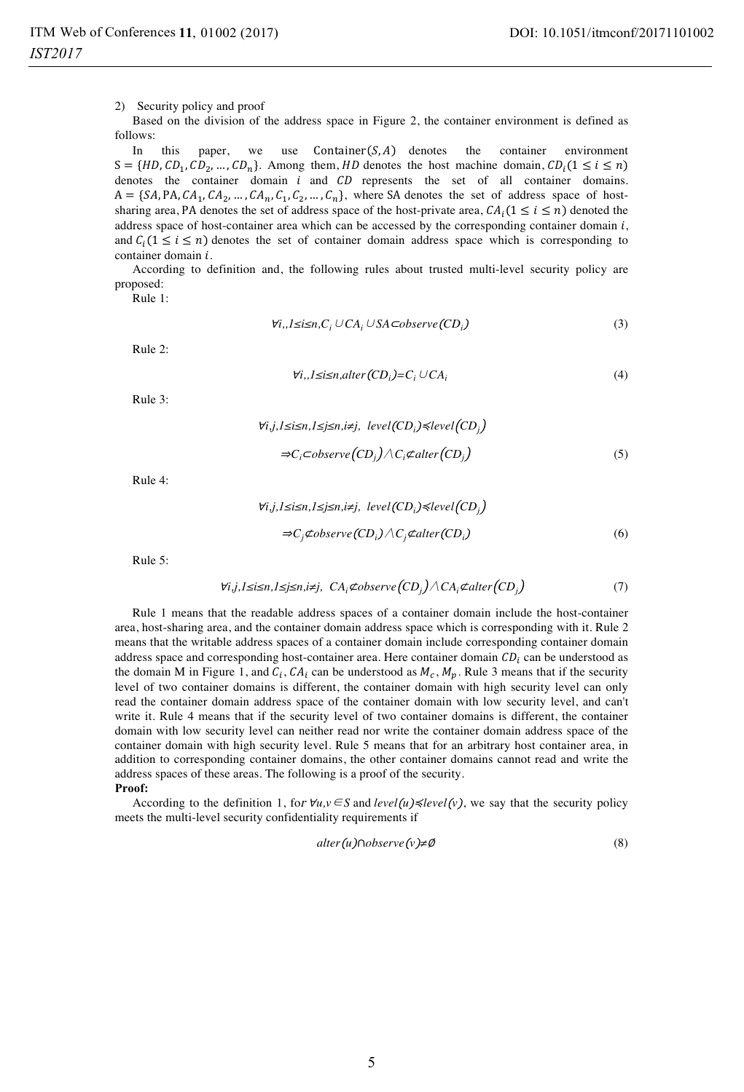2) Security policy and proof

Based on the division of the address space in Figure 2, the container environment is defined as follows:

In this paper, we use  $ontainer(S, A)$  denotes the container environment  $S = \{HD, CD_1, CD_2, ..., CD_n\}.$  Among them, HD denotes the host machine domain,  $CD_i(1 \le i \le n$ denotes the container domain  $i$  and  $CD$  represents the set of all container domains.  $A = \{SA, PA, CA_1, CA_2, ..., CA_n, C_1, C_2, ..., C_n\}$ , where SA denotes the set of address space of hostsharing area, PA denotes the set of address space of the host-private area,  $CA_i(1 \le i \le n)$  denoted the address space of host-container area which can be accessed by the corresponding container domain  $i$ , and  $C_i(1 \leq i \leq n)$  denotes the set of container domain address space which is corresponding to container domain  $i$ .

According to definition and, the following rules about trusted multi-level security policy are proposed:

Rule 1:

$$
\forall i, J \leq i \leq n, C_i \cup CA_i \cup SA \subset observe(CD_i)
$$
\n
$$
(3)
$$

Rule 2:

$$
\forall i, J \leq i \leq n, alter(CD_i) = C_i \cup CA_i \tag{4}
$$

Rule 3:

$$
\forall i,j, l \leq i \leq n, l \leq j \leq n, i \neq j, level(CD_i) \leq level(CD_j)
$$
  
\n⇒C<sub>i</sub>  $\subset$  *observe*  $(CD_j) \wedge C_i \not\subset$  *after*  $(CD_j)$  (5)

Rule 4:

$$
\forall i,j, l \leq i \leq n, l \leq j \leq n, i \neq j, level (CDi) \leq level (CDj)
$$
  
\n⇒C<sub>j</sub>¢observe (CD<sub>i</sub>) ∧ C<sub>j</sub>¢alter (CD<sub>i</sub>) (6)

Rule 5:

$$
\forall i, j, l \leq i \leq n, l \leq j \leq n, i \neq j, CA_i \not\subset \text{observe}(CD_j) \land CA_i \not\subset \text{alter}(CD_j)
$$
\n
$$
(7)
$$

Rule 1 means that the readable address spaces of a container domain include the host-container area, host-sharing area, and the container domain address space which is corresponding with it. Rule 2 means that the writable address spaces of a container domain include corresponding container domain address space and corresponding host-container area. Here container domain  $CD<sub>i</sub>$  can be understood as the domain M in Figure 1, and  $C_i$ ,  $CA_i$  can be understood as  $M_c$ ,  $M_p$ . Rule 3 means that if the security level of two container domains is different, the container domain with high security level can only read the container domain address space of the container domain with low security level, and can't write it. Rule 4 means that if the security level of two container domains is different, the container domain with low security level can neither read nor write the container domain address space of the container domain with high security level. Rule 5 means that for an arbitrary host container area, in addition to corresponding container domains, the other container domains cannot read and write the address spaces of these areas. The following is a proof of the security. **Proof:** 

According to the definition 1, for  $\forall u, v \in S$  and *level*( $u$ )  $\le$ *level*( $v$ ), we say that the security policy meets the multi-level security confidentiality requirements if

$$
alter(u) \cap observe(v) \neq \emptyset
$$
\n
$$
(8)
$$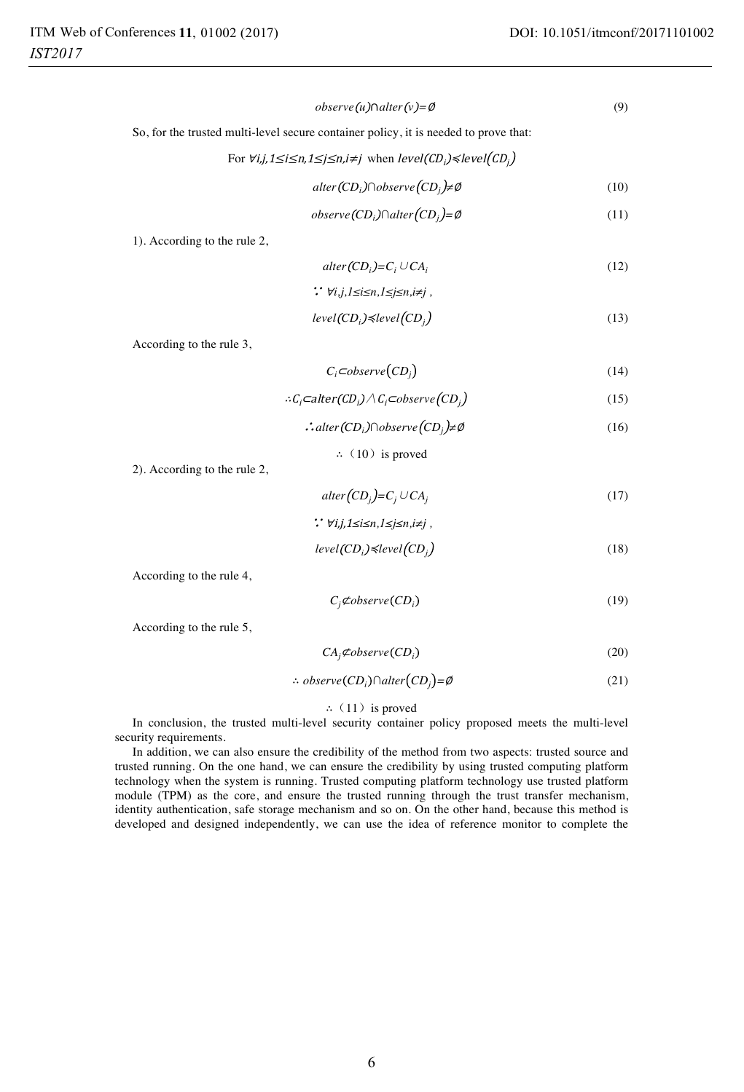(9)

 $\omega$ *observe*(*u*) $\cap$ *alter*(*v*)= $\emptyset$ 

So, for the trusted multi-level secure container policy, it is needed to prove that:

For 
$$
\forall i, j, 1 \le i \le n, 1 \le j \le n, i \ne j
$$
 when  $level(CD_i) \le level(CD_j)$ 

$$
alter(CD_i) \cap observe(CD_j) \neq \emptyset
$$
\n<sup>(10)</sup>

$$
observe(CD_i)\cap alter(CD_j) = \emptyset
$$
\n(11)

1). According to the rule 2,

$$
alter(CD_i)=C_i \cup CA_i \tag{12}
$$

$$
\therefore \forall i,j,l \leq i \leq n, l \leq j \leq n, i \neq j
$$

$$
level(CD_i) \le level(CD_j)
$$
\n<sup>(13)</sup>

According to the rule 3,

$$
C_i \subset \text{observe}(CD_j) \tag{14}
$$

$$
\therefore C_i \subset \text{alter}(CD_i) \land C_i \subset \text{observe}(CD_j) \tag{15}
$$

$$
\therefore alter(CD_i) \cap observe(CD_j) \neq \emptyset
$$
\n(16)

$$
\therefore
$$
 (10) is proved

2). According to the rule 2,

 $\mathit{alter}(CD_j) = C_j \cup CA_j$ (17)

$$
\therefore \forall i,j, 1 \leq i \leq n, 1 \leq j \leq n, i \neq j
$$

$$
level(CD_i) \le level(CD_j)
$$
\n(18)

According to the rule 4,

$$
C_j \nsubseteq \text{observe}(CD_i) \tag{19}
$$

According to the rule 5,

$$
CA_j \nsubseteq \n $\phi$  (20)
$$

$$
\therefore \; observe(CD_i) \cap alter(CD_j) = \emptyset \tag{21}
$$

### $\therefore$  (11) is proved

In conclusion, the trusted multi-level security container policy proposed meets the multi-level security requirements.

In addition, we can also ensure the credibility of the method from two aspects: trusted source and trusted running. On the one hand, we can ensure the credibility by using trusted computing platform technology when the system is running. Trusted computing platform technology use trusted platform module (TPM) as the core, and ensure the trusted running through the trust transfer mechanism, identity authentication, safe storage mechanism and so on. On the other hand, because this method is developed and designed independently, we can use the idea of reference monitor to complete the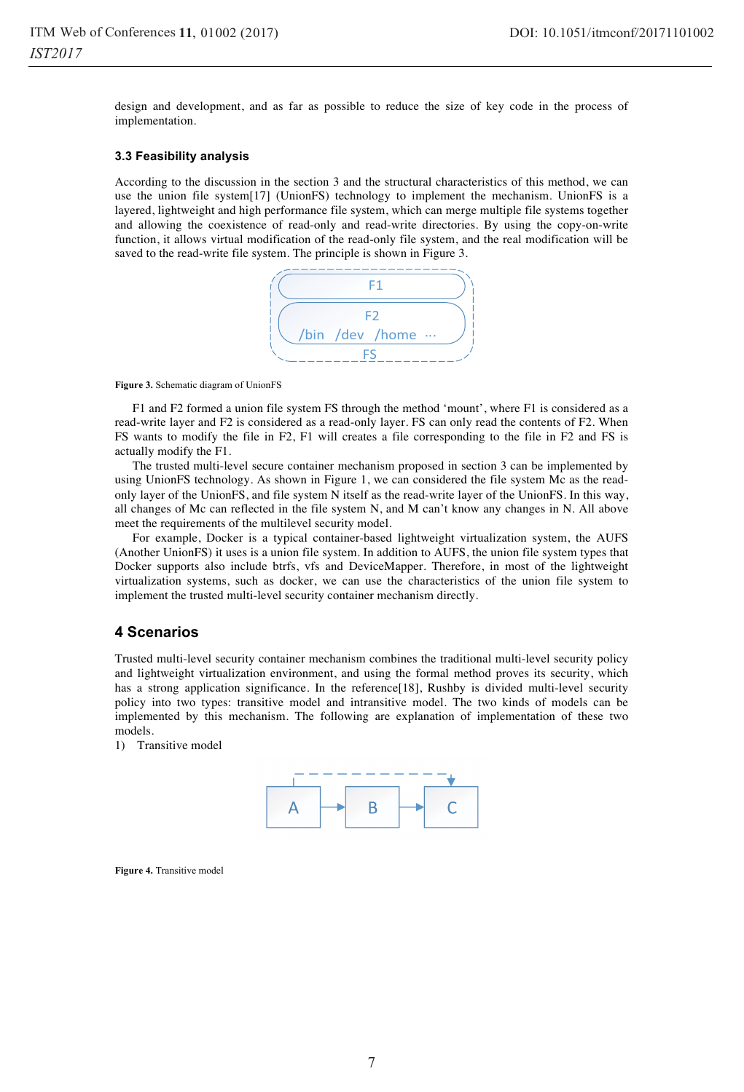design and development, and as far as possible to reduce the size of key code in the process of implementation.

### **3.3 Feasibility analysis**

According to the discussion in the section 3 and the structural characteristics of this method, we can use the union file system[17] (UnionFS) technology to implement the mechanism. UnionFS is a layered, lightweight and high performance file system, which can merge multiple file systems together and allowing the coexistence of read-only and read-write directories. By using the copy-on-write function, it allows virtual modification of the read-only file system, and the real modification will be saved to the read-write file system. The principle is shown in Figure 3.



#### **Figure 3.** Schematic diagram of UnionFS

F1 and F2 formed a union file system FS through the method 'mount', where F1 is considered as a read-write layer and F2 is considered as a read-only layer. FS can only read the contents of F2. When FS wants to modify the file in F2, F1 will creates a file corresponding to the file in F2 and FS is actually modify the F1.

The trusted multi-level secure container mechanism proposed in section 3 can be implemented by using UnionFS technology. As shown in Figure 1, we can considered the file system Mc as the readonly layer of the UnionFS, and file system N itself as the read-write layer of the UnionFS. In this way, all changes of Mc can reflected in the file system N, and M can't know any changes in N. All above meet the requirements of the multilevel security model.

For example, Docker is a typical container-based lightweight virtualization system, the AUFS (Another UnionFS) it uses is a union file system. In addition to AUFS, the union file system types that Docker supports also include btrfs, vfs and DeviceMapper. Therefore, in most of the lightweight virtualization systems, such as docker, we can use the characteristics of the union file system to implement the trusted multi-level security container mechanism directly.

### **4 Scenarios**

Trusted multi-level security container mechanism combines the traditional multi-level security policy and lightweight virtualization environment, and using the formal method proves its security, which has a strong application significance. In the reference[18], Rushby is divided multi-level security policy into two types: transitive model and intransitive model. The two kinds of models can be implemented by this mechanism. The following are explanation of implementation of these two models.

1) Transitive model



**Figure 4.** Transitive model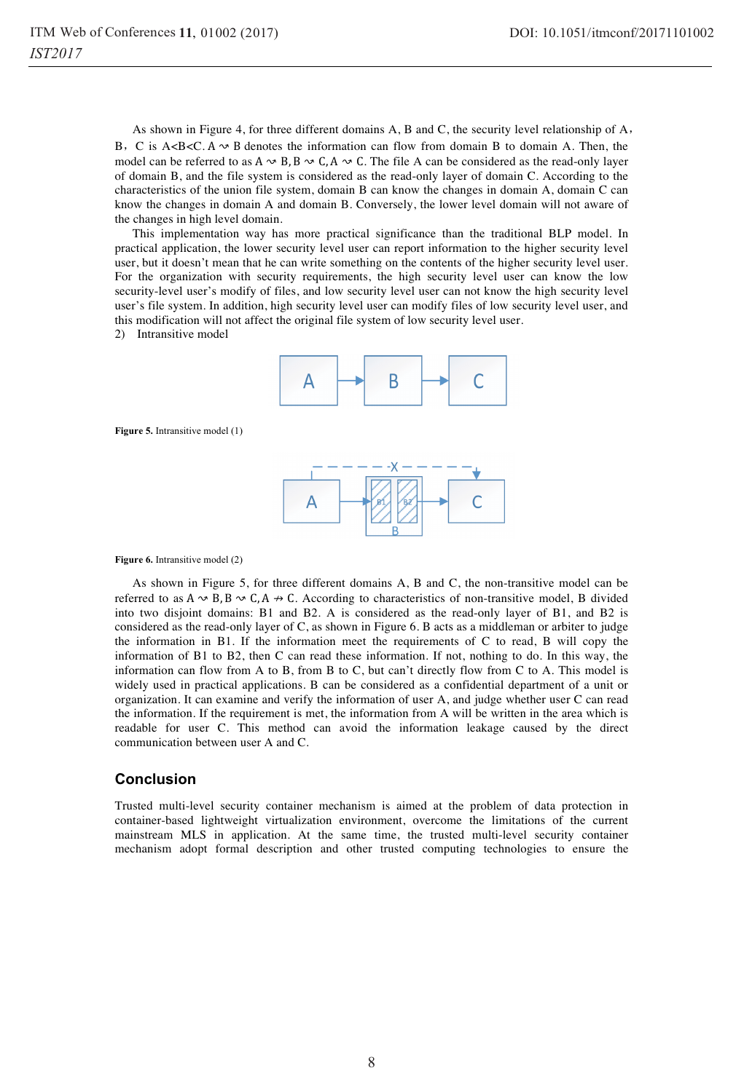As shown in Figure 4, for three different domains A, B and C, the security level relationship of A, B. C is A<B<C. A  $\sim$  B denotes the information can flow from domain B to domain A. Then, the model can be referred to as  $A \sim B$ ,  $B \sim C$ ,  $A \sim C$ . The file A can be considered as the read-only layer of domain B, and the file system is considered as the read-only layer of domain C. According to the characteristics of the union file system, domain B can know the changes in domain A, domain C can know the changes in domain A and domain B. Conversely, the lower level domain will not aware of the changes in high level domain.

This implementation way has more practical significance than the traditional BLP model. In practical application, the lower security level user can report information to the higher security level user, but it doesn't mean that he can write something on the contents of the higher security level user. For the organization with security requirements, the high security level user can know the low security-level user's modify of files, and low security level user can not know the high security level user's file system. In addition, high security level user can modify files of low security level user, and this modification will not affect the original file system of low security level user.

2) Intransitive model



**Figure 5.** Intransitive model (1)



#### Figure 6. Intransitive model (2)

As shown in Figure 5, for three different domains A, B and C, the non-transitive model can be referred to as  $A \sim B$ ,  $B \sim C$ ,  $A \rightarrow C$ . According to characteristics of non-transitive model, B divided into two disjoint domains: B1 and B2. A is considered as the read-only layer of B1, and B2 is considered as the read-only layer of C, as shown in Figure 6. B acts as a middleman or arbiter to judge the information in B1. If the information meet the requirements of C to read, B will copy the information of B1 to B2, then C can read these information. If not, nothing to do. In this way, the information can flow from A to B, from B to C, but can't directly flow from C to A. This model is widely used in practical applications. B can be considered as a confidential department of a unit or organization. It can examine and verify the information of user A, and judge whether user C can read the information. If the requirement is met, the information from A will be written in the area which is readable for user C. This method can avoid the information leakage caused by the direct communication between user A and C.

### **Conclusion**

Trusted multi-level security container mechanism is aimed at the problem of data protection in container-based lightweight virtualization environment, overcome the limitations of the current mainstream MLS in application. At the same time, the trusted multi-level security container mechanism adopt formal description and other trusted computing technologies to ensure the